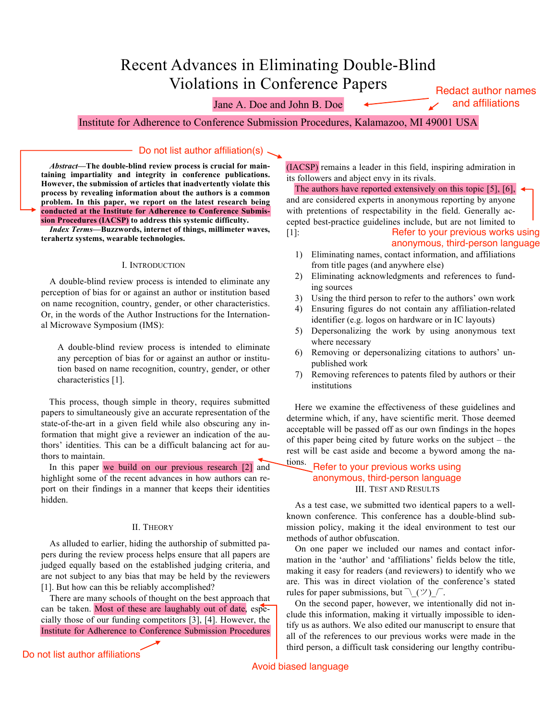# Recent Advances in Eliminating Double-Blind **Violations in Conference Papers**

Jane A. Doe and John B. Doe

**Redact author names** and affiliations

Institute for Adherence to Conference Submission Procedures, Kalamazoo, MI 49001 USA

### Do not list author affiliation(s).

Abstract—The double-blind review process is crucial for maintaining impartiality and integrity in conference publications. However, the submission of articles that inadvertently violate this process by revealing information about the authors is a common problem. In this paper, we report on the latest research being conducted at the Institute for Adherence to Conference Submission Procedures (IACSP) to address this systemic difficulty.

**Index Terms-Buzzwords, internet of things, millimeter waves,** terahertz systems, wearable technologies.

### I. INTRODUCTION

A double-blind review process is intended to eliminate any perception of bias for or against an author or institution based on name recognition, country, gender, or other characteristics. Or, in the words of the Author Instructions for the International Microwave Symposium (IMS):

A double-blind review process is intended to eliminate any perception of bias for or against an author or institution based on name recognition, country, gender, or other characteristics [1].

This process, though simple in theory, requires submitted papers to simultaneously give an accurate representation of the state-of-the-art in a given field while also obscuring any information that might give a reviewer an indication of the authors' identities. This can be a difficult balancing act for authors to maintain.

In this paper we build on our previous research [2] and highlight some of the recent advances in how authors can report on their findings in a manner that keeps their identities hidden.

### **II. THEORY**

As alluded to earlier, hiding the authorship of submitted papers during the review process helps ensure that all papers are judged equally based on the established judging criteria, and are not subject to any bias that may be held by the reviewers [1]. But how can this be reliably accomplished?

There are many schools of thought on the best approach that can be taken. Most of these are laughably out of date, especially those of our funding competitors [3], [4]. However, the Institute for Adherence to Conference Submission Procedures

Do not list author affiliations

(IACSP) remains a leader in this field, inspiring admiration in its followers and abject envy in its rivals.

The authors have reported extensively on this topic [5], [6],  $\triangleleft$ and are considered experts in anonymous reporting by anyone with pretentions of respectability in the field. Generally accepted best-practice guidelines include, but are not limited to Refer to your previous works using  $\lceil 1 \rceil$ :

anonymous, third-person language

- 1) Eliminating names, contact information, and affiliations from title pages (and anywhere else)
- Eliminating acknowledgments and references to fund-2) ing sources
- Using the third person to refer to the authors' own work 3)
- 4) Ensuring figures do not contain any affiliation-related identifier (e.g. logos on hardware or in IC layouts)
- 5) Depersonalizing the work by using anonymous text where necessary
- Removing or depersonalizing citations to authors' un-6) published work
- Removing references to patents filed by authors or their 7) institutions

Here we examine the effectiveness of these guidelines and determine which, if any, have scientific merit. Those deemed acceptable will be passed off as our own findings in the hopes of this paper being cited by future works on the subject  $-$  the rest will be cast aside and become a byword among the na-

### tions. Refer to your previous works using anonymous, third-person language **III. TEST AND RESULTS**

As a test case, we submitted two identical papers to a wellknown conference. This conference has a double-blind submission policy, making it the ideal environment to test our methods of author obfuscation.

On one paper we included our names and contact information in the 'author' and 'affiliations' fields below the title, making it easy for readers (and reviewers) to identify who we are. This was in direct violation of the conference's stated rules for paper submissions, but  $\wedge$  ( $\vee$ )  $\wedge$ .

On the second paper, however, we intentionally did not include this information, making it virtually impossible to identify us as authors. We also edited our manuscript to ensure that all of the references to our previous works were made in the third person, a difficult task considering our lengthy contribu-

Avoid biased language